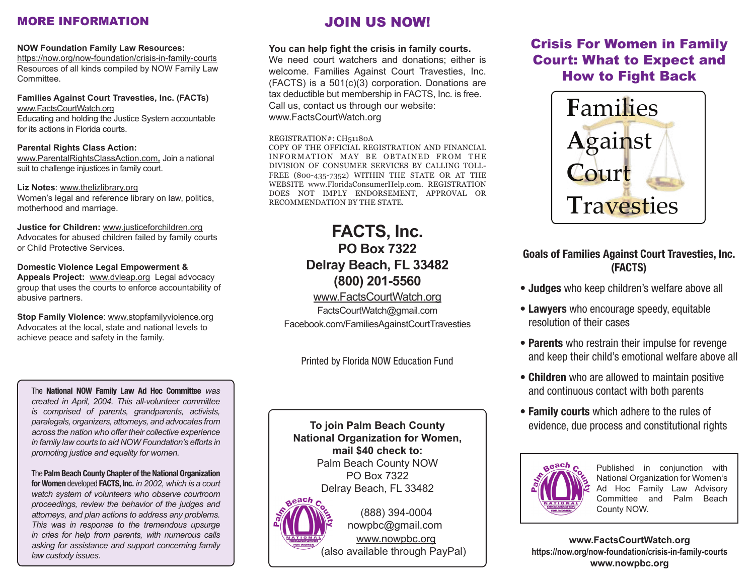## MORE INFORMATION

### **NOW Foundation Family Law Resources:**

https://now.org/now-foundation/crisis-in-family-courts Resources of all kinds compiled by NOW Family Law Committee.

**Families Against Court Travesties, Inc. (FACTs)** www.FactsCourtWatch.org Educating and holding the Justice System accountable for its actions in Florida courts.

### **Parental Rights Class Action:**

www.ParentalRightsClassAction.com**.** Join a national suit to challenge injustices in family court.

### **Liz Notes**: www.thelizlibrary.org

Women's legal and reference library on law, politics, motherhood and marriage.

**Justice for Children:** www.justiceforchildren.org Advocates for abused children failed by family courts or Child Protective Services.

## **Domestic Violence Legal Empowerment &**

**Appeals Project:** www.dvleap.org Legal advocacy group that uses the courts to enforce accountability of abusive partners.

#### **Stop Family Violence**: www.stopfamilyviolence.org Advocates at the local, state and national levels to

achieve peace and safety in the family.

The **National NOW Family Law Ad Hoc Committee** *was created in April, 2004. This all-volunteer committee is comprised of parents, grandparents, activists, paralegals, organizers, attorneys, and advocates from across the nation who offer their collective experience in family law courts to aid NOW Foundation's efforts in promoting justice and equality for women.*

The **Palm Beach County Chapter of the National Organization for Women** developed **FACTS, Inc.** *in 2002, which is a court watch system of volunteers who observe courtroom proceedings, review the behavior of the judges and attorneys, and plan actions to address any problems. This was in response to the tremendous upsurge in cries for help from parents, with numerous calls asking for assistance and support concerning family law custody issues.*

# JOIN US NOW!

## **You can help fight the crisis in family courts.**

We need court watchers and donations; either is welcome. Families Against Court Travesties, Inc. (FACTS) is a 501(c)(3) corporation. Donations are tax deductible but membership in FACTS, Inc. is free. Call us, contact us through our website: www.FactsCourtWatch.org

### REGISTRATION#: CH51180A

COPY OF THE OFFICIAL REGISTRATION AND FINANCIAL INFORMATION MAY BE OBTAINED FROM THE DIVISION OF CONSUMER SERVICES BY CALLING TOLL-FREE (800-435-7352) WITHIN THE STATE OR AT THE WEBSITE www.FloridaConsumerHelp.com. REGISTRATION DOES NOT IMPLY ENDORSEMENT, APPROVAL OR RECOMMENDATION BY THE STATE.

# **FACTS, Inc. PO Box 7322 Delray Beach, FL 33482 (800) 201-5560**

## www.FactsCourtWatch.org

FactsCourtWatch@gmail.com Facebook.com/FamiliesAgainstCourtTravesties

Printed by Florida NOW Education Fund

**To join Palm Beach County National Organization for Women, mail \$40 check to:** Palm Beach County NOW PO Box 7322 Delray Beach, FL 33482



 (888) 394-0004 nowpbc@gmail.com www.nowpbc.org (also available through PayPal)

# Crisis For Women in Family Court: What to Expect and How to Fight Back



## **Goals of Families Against Court Travesties, Inc. (FACTS)**

- **Judges** who keep children's welfare above all
- **Lawyers** who encourage speedy, equitable resolution of their cases
- **Parents** who restrain their impulse for revenge and keep their child's emotional welfare above all
- **Children** who are allowed to maintain positive and continuous contact with both parents
- **Family courts** which adhere to the rules of evidence, due process and constitutional rights



Published in conjunction with National Organization for Women's Ad Hoc Family Law Advisory Committee and Palm Beach County NOW.

**www.FactsCourtWatch.org https://now.org/now-foundation/crisis-in-family-courts www.nowpbc.org**